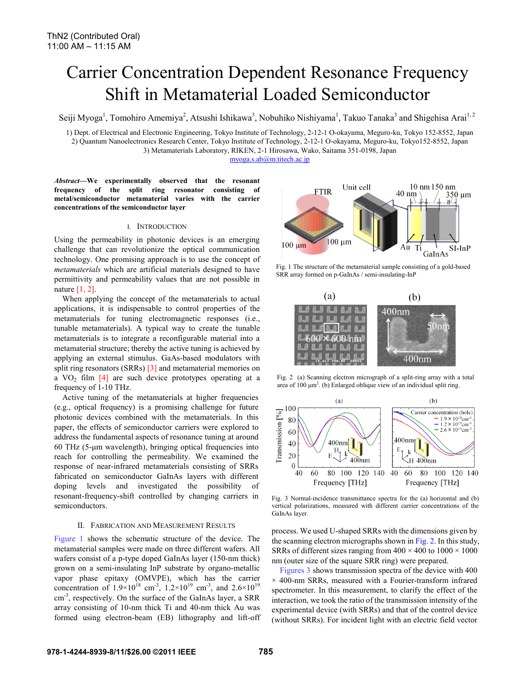# Carrier Concentration Dependent Resonance Frequency Shift in Metamaterial Loaded Semiconductor

Seiji Myoga<sup>1</sup>, Tomohiro Amemiya<sup>2</sup>, Atsushi Ishikawa<sup>3</sup>, Nobuhiko Nishiyama<sup>1</sup>, Takuo Tanaka<sup>3</sup> and Shigehisa Arai<sup>1, 2</sup>

1) Dept. of Electrical and Electronic Engineering, Tokyo Institute of Technology, 2-12-1 O-okayama, Meguro-ku, Tokyo 152-8552, Japan 2) Quantum Nanoelectronics Research Center, Tokyo Institute of Technology, 2-12-1 O-okayama, Meguro-ku, Tokyo152-8552, Japan

3) Metamaterials Laboratory, RIKEN, 2-1 Hirosawa, Wako, Saitama 351-0198, Japan

myoga.s.ab@m.titech.ac.jp

*Abstract***—We experimentally observed that the resonant frequency of the split ring resonator consisting of metal/semiconductor metamaterial varies with the carrier concentrations of the semiconductor layer** 

## I. INTRODUCTION

Using the permeability in photonic devices is an emerging challenge that can revolutionize the optical communication technology. One promising approach is to use the concept of *metamaterials* which are artificial materials designed to have permittivity and permeability values that are not possible in nature [1, 2].

When applying the concept of the metamaterials to actual applications, it is indispensable to control properties of the metamaterials for tuning electromagnetic responses (i.e., tunable metamaterials). A typical way to create the tunable metamaterials is to integrate a reconfigurable material into a metamaterial structure; thereby the active tuning is achieved by applying an external stimulus. GaAs-based modulators with split ring resonators (SRRs) [3] and metamaterial memories on a  $VO<sub>2</sub>$  film [4] are such device prototypes operating at a frequency of 1-10 THz.

Active tuning of the metamaterials at higher frequencies (e.g., optical frequency) is a promising challenge for future photonic devices combined with the metamaterials. In this paper, the effects of semiconductor carriers were explored to address the fundamental aspects of resonance tuning at around 60 THz (5-μm wavelength), bringing optical frequencies into reach for controlling the permeability. We examined the response of near-infrared metamaterials consisting of SRRs fabricated on semiconductor GaInAs layers with different doping levels and investigated the possibility of resonant-frequency-shift controlled by changing carriers in semiconductors.

# II. FABRICATION AND MEASUREMENT RESULTS

Figure 1 shows the schematic structure of the device. The metamaterial samples were made on three different wafers. All wafers consist of a p-type doped GaInAs layer (150-nm thick) grown on a semi-insulating InP substrate by organo-metallic vapor phase epitaxy (OMVPE), which has the carrier concentration of  $1.9 \times 10^{18}$  cm<sup>-3</sup>,  $1.2 \times 10^{19}$  cm<sup>-3</sup>, and  $2.6 \times 10^{19}$ cm<sup>-3</sup>, respectively. On the surface of the GaInAs layer, a SRR array consisting of 10-nm thick Ti and 40-nm thick Au was formed using electron-beam (EB) lithography and lift-off



Fig. 1 The structure of the metamaterial sample consisting of a gold-based SRR array formed on p-GaInAs / semi-insulating-InP



Fig. 2 (a) Scanning electron micrograph of a split-ring array with a total area of  $100 \mu m^2$ . (b) Enlarged oblique view of an individual split ring.



Fig. 3 Normal-incidence transmittance spectra for the (a) horizontal and (b) vertical polarizations, measured with different carrier concentrations of the GaInAs layer.

process. We used U-shaped SRRs with the dimensions given by the scanning electron micrographs shown in Fig. 2. In this study, SRRs of different sizes ranging from  $400 \times 400$  to  $1000 \times 1000$ nm (outer size of the square SRR ring) were prepared.

Figures 3 shows transmission spectra of the device with 400  $\times$  400-nm SRRs, measured with a Fourier-transform infrared spectrometer. In this measurement, to clarify the effect of the interaction, we took the ratio of the transmission intensity of the experimental device (with SRRs) and that of the control device (without SRRs). For incident light with an electric field vector